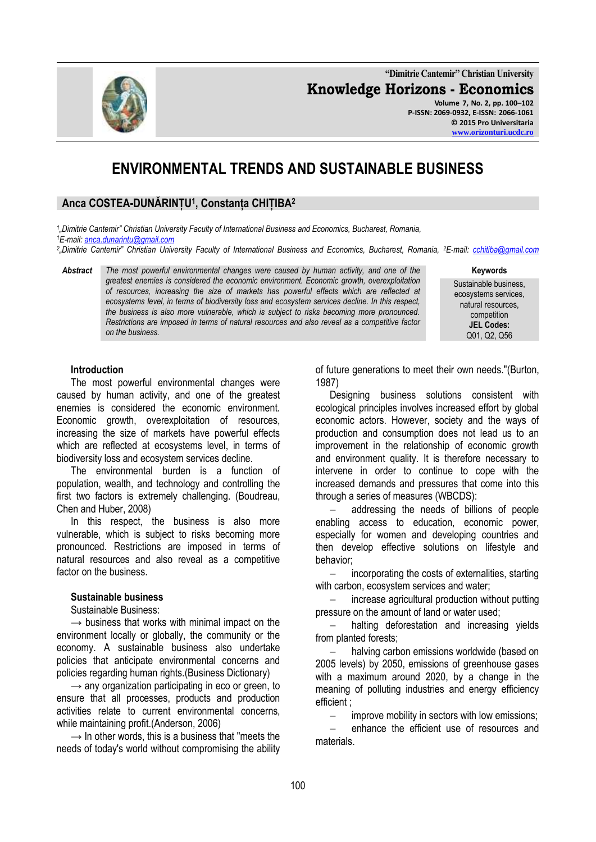**"Dimitrie Cantemir" Christian University Knowledge Horizons - Economics Volume 7, No. 2, pp. 100–102 P-ISSN: 2069-0932, E-ISSN: 2066-1061 © 2015 Pro Universitaria**

# **ENVIRONMENTAL TRENDS AND SUSTAINABLE BUSINESS**

## **Anca COSTEA-DUNĂRINȚU<sup>1</sup> , Constanța CHIȚIBA<sup>2</sup>**

*1 "Dimitrie Cantemir" Christian University Faculty of International Business and Economics, Bucharest, Romania, <sup>1</sup>E-mail[: anca.dunarintu@gmail.com](mailto:anca.dunarintu@gmail.com)*

*2 "Dimitrie Cantemir" Christian University Faculty of International Business and Economics, Bucharest, Romania, <sup>2</sup>E-mail: [cchitiba@gmail.com](mailto:cchitiba@gmail.com)*

*Abstract The most powerful environmental changes were caused by human activity, and one of the greatest enemies is considered the economic environment. Economic growth, overexploitation of resources, increasing the size of markets has powerful effects which are reflected at ecosystems level, in terms of biodiversity loss and ecosystem services decline. In this respect, the business is also more vulnerable, which is subject to risks becoming more pronounced. Restrictions are imposed in terms of natural resources and also reveal as a competitive factor on the business.*

**Keywords**

Sustainable business, ecosystems services, natural resources, competition **JEL Codes:** Q01, Q2, Q56

#### **Introduction**

The most powerful environmental changes were caused by human activity, and one of the greatest enemies is considered the economic environment. Economic growth, overexploitation of resources, increasing the size of markets have powerful effects which are reflected at ecosystems level, in terms of biodiversity loss and ecosystem services decline.

The environmental burden is a function of population, wealth, and technology and controlling the first two factors is extremely challenging. (Boudreau, Chen and Huber, 2008)

In this respect, the business is also more vulnerable, which is subject to risks becoming more pronounced. Restrictions are imposed in terms of natural resources and also reveal as a competitive factor on the business.

#### **Sustainable business**

#### Sustainable Business:

 $\rightarrow$  business that works with minimal impact on the environment locally or globally, the community or the economy. A sustainable business also undertake policies that anticipate environmental concerns and policies regarding human rights.(Business Dictionary)

 $\rightarrow$  any organization participating in eco or green, to ensure that all processes, products and production activities relate to current environmental concerns, while maintaining profit.(Anderson, 2006)

 $\rightarrow$  In other words, this is a business that "meets the needs of today's world without compromising the ability of future generations to meet their own needs."(Burton, 1987)

Designing business solutions consistent with ecological principles involves increased effort by global economic actors. However, society and the ways of production and consumption does not lead us to an improvement in the relationship of economic growth and environment quality. It is therefore necessary to intervene in order to continue to cope with the increased demands and pressures that come into this through a series of measures (WBCDS):

 addressing the needs of billions of people enabling access to education, economic power, especially for women and developing countries and then develop effective solutions on lifestyle and behavior;

 incorporating the costs of externalities, starting with carbon, ecosystem services and water;

 increase agricultural production without putting pressure on the amount of land or water used;

 halting deforestation and increasing yields from planted forests;

 halving carbon emissions worldwide (based on 2005 levels) by 2050, emissions of greenhouse gases with a maximum around 2020, by a change in the meaning of polluting industries and energy efficiency efficient ;

improve mobility in sectors with low emissions;

 enhance the efficient use of resources and materials.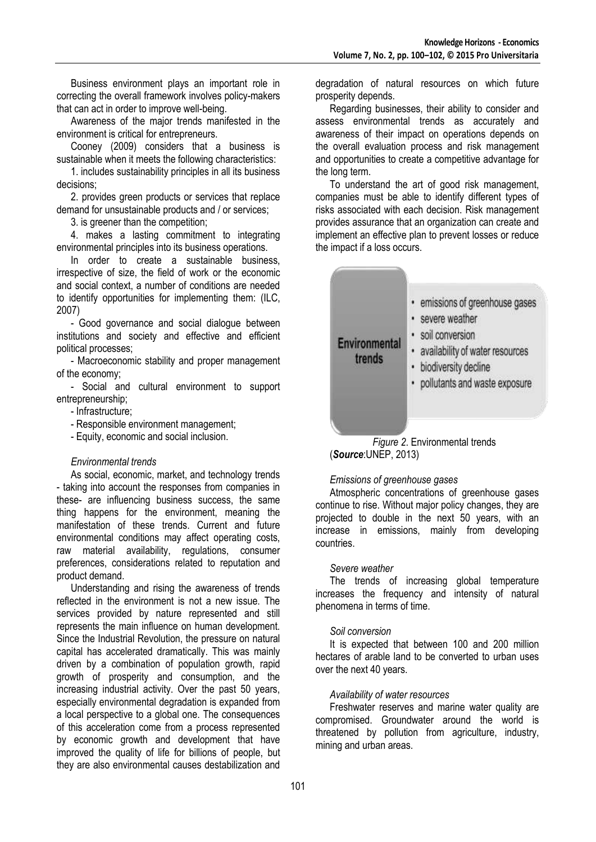Business environment plays an important role in correcting the overall framework involves policy-makers that can act in order to improve well-being.

Awareness of the major trends manifested in the environment is critical for entrepreneurs.

Cooney (2009) considers that a business is sustainable when it meets the following characteristics:

1. includes sustainability principles in all its business decisions;

2. provides green products or services that replace demand for unsustainable products and / or services;

3. is greener than the competition;

4. makes a lasting commitment to integrating environmental principles into its business operations.

In order to create a sustainable business, irrespective of size, the field of work or the economic and social context, a number of conditions are needed to identify opportunities for implementing them: (ILC, 2007)

- Good governance and social dialogue between institutions and society and effective and efficient political processes;

- Macroeconomic stability and proper management of the economy;

- Social and cultural environment to support entrepreneurship;

- Infrastructure;

- Responsible environment management;

- Equity, economic and social inclusion.

## *Environmental trends*

As social, economic, market, and technology trends - taking into account the responses from companies in these- are influencing business success, the same thing happens for the environment, meaning the manifestation of these trends. Current and future environmental conditions may affect operating costs, raw material availability, regulations, consumer preferences, considerations related to reputation and product demand.

Understanding and rising the awareness of trends reflected in the environment is not a new issue. The services provided by nature represented and still represents the main influence on human development. Since the Industrial Revolution, the pressure on natural capital has accelerated dramatically. This was mainly driven by a combination of population growth, rapid growth of prosperity and consumption, and the increasing industrial activity. Over the past 50 years, especially environmental degradation is expanded from a local perspective to a global one. The consequences of this acceleration come from a process represented by economic growth and development that have improved the quality of life for billions of people, but they are also environmental causes destabilization and degradation of natural resources on which future prosperity depends.

Regarding businesses, their ability to consider and assess environmental trends as accurately and awareness of their impact on operations depends on the overall evaluation process and risk management and opportunities to create a competitive advantage for the long term.

To understand the art of good risk management, companies must be able to identify different types of risks associated with each decision. Risk management provides assurance that an organization can create and implement an effective plan to prevent losses or reduce the impact if a loss occurs.



*Figure 2*. Environmental trends (*Source*:UNEP, 2013)

#### *Emissions of greenhouse gases*

Atmospheric concentrations of greenhouse gases continue to rise. Without major policy changes, they are projected to double in the next 50 years, with an increase in emissions, mainly from developing countries.

## *Severe weather*

The trends of increasing global temperature increases the frequency and intensity of natural phenomena in terms of time.

#### *Soil conversion*

It is expected that between 100 and 200 million hectares of arable land to be converted to urban uses over the next 40 years.

#### *Availability of water resources*

Freshwater reserves and marine water quality are compromised. Groundwater around the world is threatened by pollution from agriculture, industry, mining and urban areas.